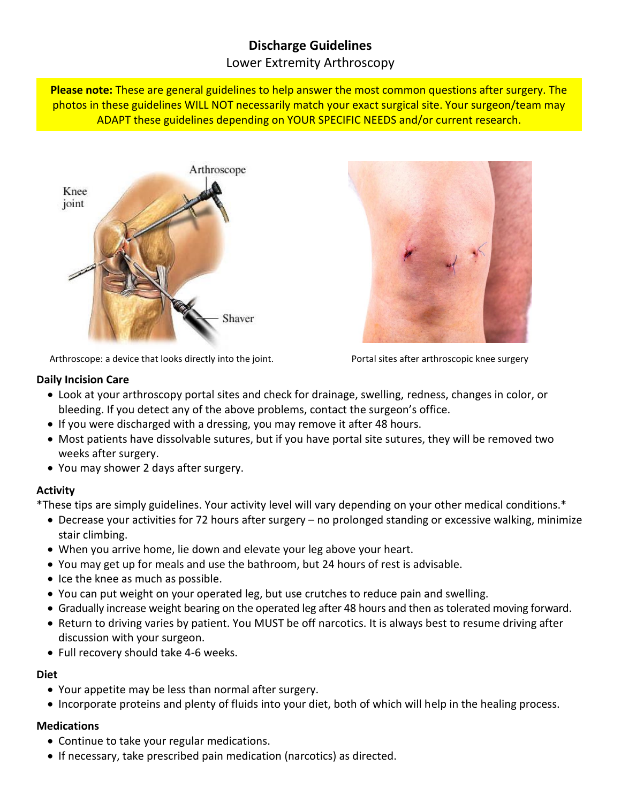# **Discharge Guidelines**

### Lower Extremity Arthroscopy

**Please note:** These are general guidelines to help answer the most common questions after surgery. The photos in these guidelines WILL NOT necessarily match your exact surgical site. Your surgeon/team may ADAPT these guidelines depending on YOUR SPECIFIC NEEDS and/or current research.





Arthroscope: a device that looks directly into the joint. Portal sites after arthroscopic knee surgery

#### **Daily Incision Care**

- Look at your arthroscopy portal sites and check for drainage, swelling, redness, changes in color, or bleeding. If you detect any of the above problems, contact the surgeon's office.
- If you were discharged with a dressing, you may remove it after 48 hours.
- Most patients have dissolvable sutures, but if you have portal site sutures, they will be removed two weeks after surgery.
- You may shower 2 days after surgery.

#### **Activity**

\*These tips are simply guidelines. Your activity level will vary depending on your other medical conditions.\*

- Decrease your activities for 72 hours after surgery no prolonged standing or excessive walking, minimize stair climbing.
- When you arrive home, lie down and elevate your leg above your heart.
- You may get up for meals and use the bathroom, but 24 hours of rest is advisable.
- Ice the knee as much as possible.
- You can put weight on your operated leg, but use crutches to reduce pain and swelling.
- Gradually increase weight bearing on the operated leg after 48 hours and then as tolerated moving forward.
- Return to driving varies by patient. You MUST be off narcotics. It is always best to resume driving after discussion with your surgeon.
- Full recovery should take 4-6 weeks.

#### **Diet**

- Your appetite may be less than normal after surgery.
- Incorporate proteins and plenty of fluids into your diet, both of which will help in the healing process.

#### **Medications**

- Continue to take your regular medications.
- If necessary, take prescribed pain medication (narcotics) as directed.